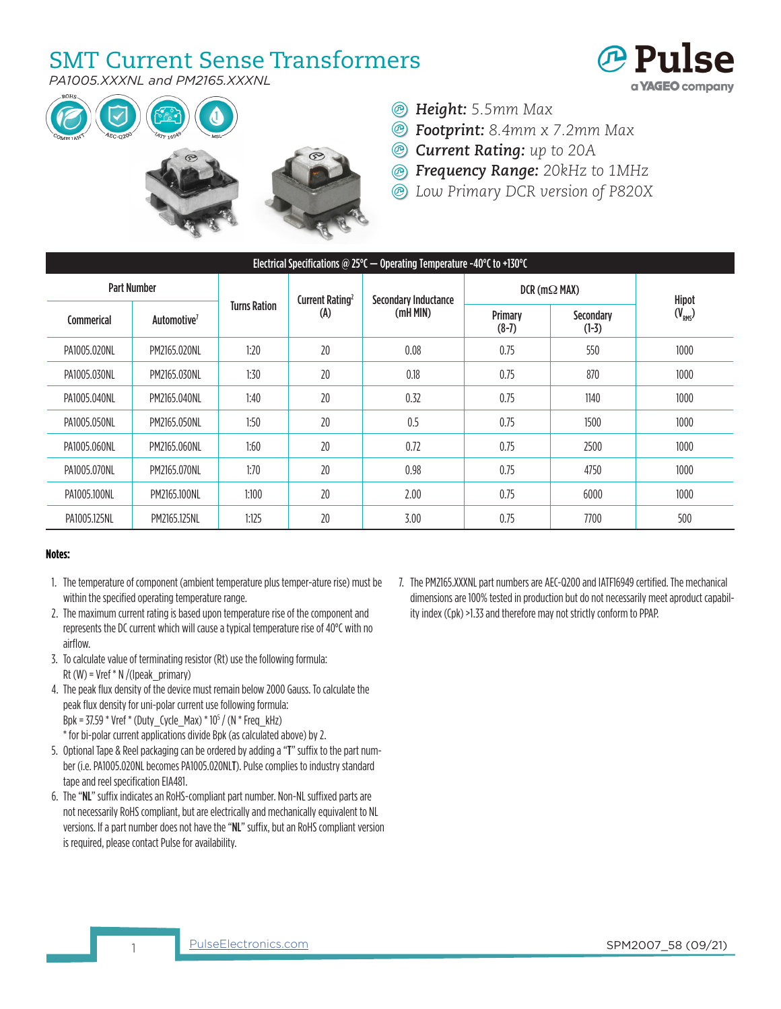## SMT Current Sense Transformers



*PA1005.XXXNL and PM2165.XXXNL*



- *Height: 5.5mm Max*
- *Footprint: 8.4mm x 7.2mm Max*
- *Current Rating: up to 20A*
- *Frequency Range: 20kHz to 1MHz*
- *Low Primary DCR version of P820X*

| Electrical Specifications @ 25°C $-$ Operating Temperature -40°C to +130°C |                         |                     |                             |                             |                        |                      |             |  |  |  |  |  |
|----------------------------------------------------------------------------|-------------------------|---------------------|-----------------------------|-----------------------------|------------------------|----------------------|-------------|--|--|--|--|--|
| <b>Part Number</b>                                                         |                         |                     | Current Rating <sup>2</sup> | <b>Secondary Inductance</b> | $DCR$ (m $\Omega$ MAX) |                      | Hipot       |  |  |  |  |  |
| Commerical                                                                 | Automotive <sup>7</sup> | <b>Turns Ration</b> | (A)                         | (mH MIN)                    | Primary<br>$(8-7)$     | Secondary<br>$(1-3)$ | $(V_{RMS})$ |  |  |  |  |  |
| PA1005.020NL                                                               | PM2165.020NL            | 1:20                | 20                          | 0.08                        | 0.75                   | 550                  | 1000        |  |  |  |  |  |
| PA1005.030NL                                                               | PM2165.030NL            | 1:30                | 20                          | 0.18                        | 0.75                   | 870                  | 1000        |  |  |  |  |  |
| PA1005.040NL                                                               | PM2165.040NL            | 1:40                | 20                          | 0.32                        | 0.75                   | 1140                 | 1000        |  |  |  |  |  |
| PA1005.050NL                                                               | PM2165.050NL            | 1:50                | 20                          | 0.5                         | 0.75                   | 1500                 | 1000        |  |  |  |  |  |
| PA1005.060NL                                                               | PM2165.060NL            | 1:60                | 20                          | 0.72                        | 0.75                   | 2500                 | 1000        |  |  |  |  |  |
| PA1005.070NL                                                               | PM2165.070NL            | 1:70                | 20                          | 0.98                        | 0.75                   | 4750                 | 1000        |  |  |  |  |  |
| PA1005.100NL                                                               | PM2165.100NL            | 1:100               | 20                          | 2.00                        | 0.75                   | 6000                 | 1000        |  |  |  |  |  |
| PA1005.125NL                                                               | PM2165.125NL            | 1:125               | 20                          | 3.00                        | 0.75                   | 7700                 | 500         |  |  |  |  |  |

## **Notes:**

- 1. The temperature of component (ambient temperature plus temper-ature rise) must be within the specified operating temperature range.
- 2. The maximum current rating is based upon temperature rise of the component and represents the DC current which will cause a typical temperature rise of 40°C with no airflow.
- 3. To calculate value of terminating resistor (Rt) use the following formula: Rt  $(W)$  = Vref  $*$  N /(Ipeak\_primary)

4. The peak flux density of the device must remain below 2000 Gauss. To calculate the peak flux density for uni-polar current use following formula: Bpk = 37.59 \* Vref \* (Duty\_Cycle\_Max) \* 105 / (N \* Freq\_kHz) \* for bi-polar current applications divide Bpk (as calculated above) by 2.

- 5. Optional Tape & Reel packaging can be ordered by adding a "T" suffix to the part number (i.e. PA1005.020NL becomes PA1005.020NLT). Pulse complies to industry standard tape and reel specification EIA481.
- 6. The "NL" suffix indicates an RoHS-compliant part number. Non-NL suffixed parts are not necessarily RoHS compliant, but are electrically and mechanically equivalent to NL versions. If a part number does not have the "NL" suffix, but an RoHS compliant version is required, please contact Pulse for availability.

7. The PM2165.XXXNL part numbers are AEC-Q200 and IATF16949 certified. The mechanical dimensions are 100% tested in production but do not necessarily meet aproduct capability index (Cpk) >1.33 and therefore may not strictly conform to PPAP.